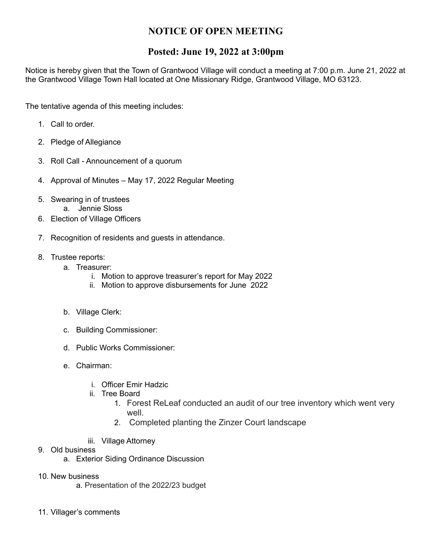## **NOTICE OF OPEN MEETING**

## **Posted: June 19, 2022 at 3:00pm**

Notice is hereby given that the Town of Grantwood Village will conduct a meeting at 7:00 p.m. June 21, 2022 at the Grantwood Village Town Hall located at One Missionary Ridge, Grantwood Village, MO 63123.

The tentative agenda of this meeting includes:

- 1. Call to order.
- 2. Pledge of Allegiance
- 3. Roll Call Announcement of a quorum
- 4. Approval of Minutes May 17, 2022 Regular Meeting
- 5. Swearing in of trustees a. Jennie Sloss
- 6. Election of Village Officers
- 7. Recognition of residents and guests in attendance.
- 8. Trustee reports:
	- a. Treasurer:
		- i. Motion to approve treasurer's report for May 2022
		- ii. Motion to approve disbursements for June 2022
		- b. Village Clerk:
		- c. Building Commissioner:
		- d. Public Works Commissioner:
		- e. Chairman:
			- i. Officer Emir Hadzic
			- ii. Tree Board
				- 1. Forest ReLeaf conducted an audit of our tree inventory which went very well.
				- 2. Completed planting the Zinzer Court landscape
			- iii. Village Attorney
- 9. Old business
	- a. Exterior Siding Ordinance Discussion
- 10. New business
	- a. Presentation of the 2022/23 budget
- 11. Villager's comments